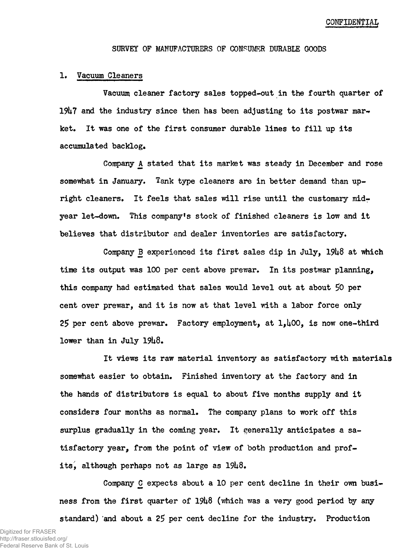CONFIDENTIAL

#### **SURVEY OF MANUFACTURERS OF CONSUMER DURABLE GOODS**

#### **!• Vacuum Cleaners**

**Vacuum cleaner factory sales topped-out in the fourth quarter of 19U7 and the industry since then has been adjusting to its postwar mar-\* ket. It was one of the first consumer durable lines to fill up its accumulated backlog.**

**Company A stated that its market was steady in December and rose somewhat in January. Tank type cleaners are in better demand than upright cleaners. It feels that sales will rise until the customary mid<sup>r</sup> year let-down. This company's stock of finished cleaners is low and it** believes that distributor and dealer inventories are satisfactory.

**Company B experienced its first sales dip in July, 19U8 at which time its output was 100 per cent above prewar. In its postwar planning,** this company had estimated that sales would level out at about 50 per **cent over prewar, and it is now at that level with a labor force only 25 per cent above prewar. Factory employment, at l,U00, is now one-third lower than in July 19U8,**

**It views its raw material inventory as satisfactory with materials somewhat easier to obtain. Finished inventory at the factory and in the hands of distributors is equal to about five months supply and it considers four months as normal. The company plans to work off this surplus gradually in the coming year. It generally anticipates a satisfactory year, from the point of view of both production and profits, although perhaps not as large as 19U8,**

**Company C expects about a 10 per cent decline in their own business from the first quarter of 19U8 (which was a very good period by any standard) and about a 25 per cent decline for the industry. Production**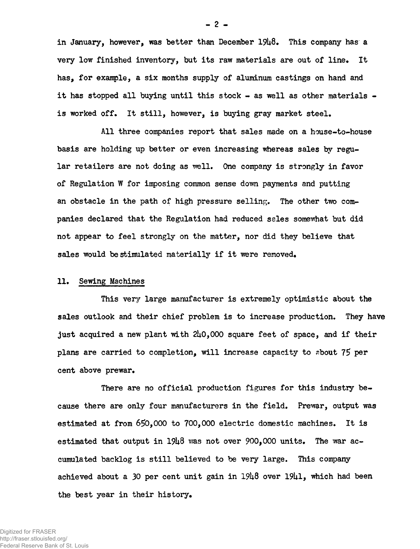in January, however, was better than December  $19\mu 8$ . This company has a very low finished inventory, but its raw materials are out of line. It has, for example, a six months supply of aluminum castings on hand and it has stopped all buying until this stock  $-$  as well as other materials  $$ is worked off. It still, however, is buying gray market steel.

All three companies report that sales made on a house-to-house basis are holding up better or even increasing whereas sales by regular retailers are not doing as well. One company is strongly in favor of Regulation W for imposing common sense down payments and putting an obstacle in the path of high pressure selling. The other two companies declared that the Regulation had reduced sales somewhat but did not appear to feel strongly on the matter, nor did they believe that sales would be stimulated materially if it were removed.

# 11. Sewing Machines

This very large manufacturer is extremely optimistic about the sales outlook and their chief problem is to increase production. They have just acquired a new plant with  $240,000$  square feet of space, and if their plans are carried to completion, will increase capacity to about 75 per cent above prewar.

There are no official production figures for this industry because there are only four manufacturers in the field. Prewar, output was estimated at from 650,000 to 700,000 electric domestic machines. It is estimated that output in  $19\mu8$  was not over 900,000 units. The war accumulated backlog is still believed to be very large. This company achieved about a  $30$  per cent unit gain in  $19\mu8$  over  $19\mu1$ , which had been the best year in their history.

 $-2 -$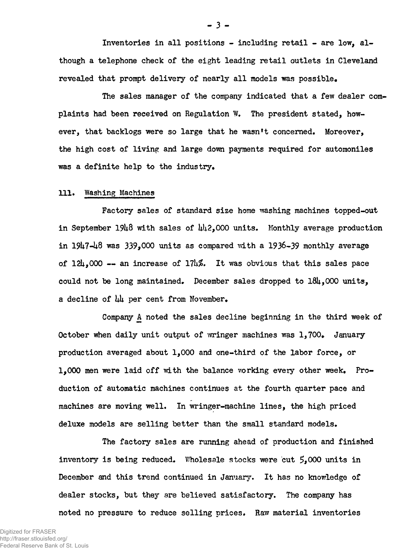Inventories in all positions - including retail - are low, although a telephone check of the eight leading retail outlets in Cleveland revealed that prompt delivery of nearly all models was possible.

The sales manager of the company indicated that a few dealer complaints had been received on Regulation W. The president stated, however, that backlogs were so large that he wasn't concerned. Moreover, the high cost of living and large down payments required for automoniles was a definite help to the industry.

### 111, Washing Machines

Factory sales of standard size home washing machines topped-out in September 1948 with sales of  $\mu$ 12,000 units. Monthly average production in  $1947-48$  was  $339.000$  units as compared with a 1936-39 monthly average of  $124,000$  -- an increase of  $17\nu\%$ . It was obvious that this sales pace could not be long maintained, December sales dropped to l8U,000 units, a decline of  $\mu\mu$  per cent from November.

Company A noted the sales decline beginning in the third week of October when daily unit output of wringer machines was  $1,700$ . January production averaged about 1,000 and one-third of the labor force, or  $1,000$  men were laid off with the balance working every other week. Production of automatic machines continues at the fourth quarter pace and machines are moving well. In wringer-machine lines, the high priced deluxe models are selling better than the small standard models.

The factory sales are running ahead of production and finished inventory is being reduced. Wholesale stocks were cut  $5,000$  units in December and this trend continued in January, It has no knowledge of dealer stocks, but they are believed satisfactory. The company has noted no pressure to reduce selling prices. Raw material inventories

**- 3 -**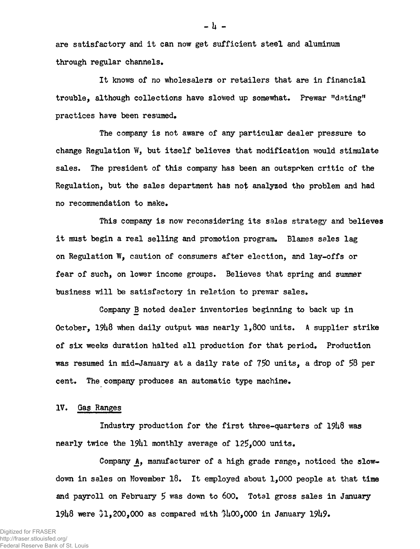are satisfactory and it can now get sufficient steel and aluminum through regular channels.

It knows of no wholesalers or retailers that are in financial trouble, although collections have slowed up somewhat. Prewar "dating" practices have been resumed.

The company is not aware of any particular dealer pressure to change Regulation W, but itself believes that modification would stimulate sales. The president of this company has been an outspoken critic of the Regulation, but the sales department has not analyzed the problem and had no recommendation to make.

This company is now reconsidering its sales strategy and believes it must begin a real selling and promotion program. Blames sales lag on Regulation W, caution of consumers after election, and lay-offs or fear of such, on lower income groups. Believes that spring and summer business will be satisfactory in relation to prewar sales.

Company B noted dealer inventories beginning to back up in October,  $19\mu8$  when daily output was nearly 1,800 units. A supplier strike of six weeks duration halted all production for that period\* Production was resumed in mid-January at a daily rate of 750 units, a drop of 58 per cent. The company produces an automatic type machine.

# IV. Gag Ranges

Industry production for the first three-quarters of  $19\mu\theta$  was nearly twice the 1941 monthly average of  $125,000$  units.

Company  $A$ , manufacturer of a high grade range, noticed the slowdown in sales on November 18. It employed about 1,000 people at that time and payroll on February  $5$  was down to  $600$ . Total gross sales in January 19U8 were 31,200,000 as compared with \$U00,000 in January 19U9.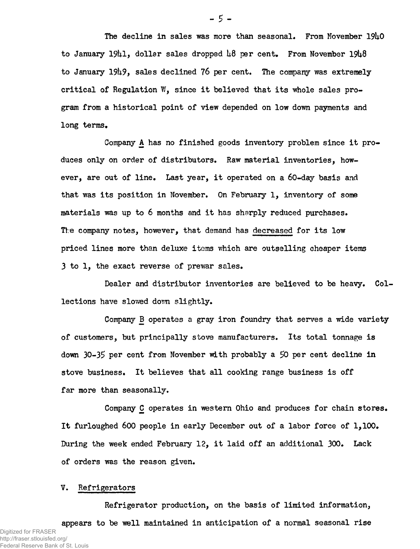The decline in sales was more than seasonal. From November 1940 to January 1941, dollar sales dropped  $\mu\delta$  per cent. From November 19 $\mu\delta$ to January 1949, sales declined 76 per cent. The company was extremely critical of Regulation W, since it believed that its whole sales program from a historical point of view depended on low down payments and long terms.

Company A has no finished goods inventory problem since it produces only on order of distributors. Raw material inventories, however, are out of line. Last year, it operated on a 60-day basis and that was its position in November. On February 1, inventory of some materials was up to 6 months and it has sharply reduced purchases. Tl:e company notes, however, that demand has decreased for its low priced lines more than deluxe items which are outselling cheaper items 3 to 1, the exact reverse of prewar sales.

Dealer and distributor inventories are believed to be heavy. Collections have slowed down slightly.

Company B operates a gray iron foundry that serves a wide variety of customers, but principally stove manufacturers. Its total tonnage is down 30-35 per cent from November with probably a 50 per cent decline in stove business. It believes that all cooking range business is off far more than seasonally.

Company C operates in western Ohio and produces for chain stores. It furloughed 600 people in early December out of a labor force of  $1,100$ . During the week ended February 12, it laid off an additional 300. Lack of orders was the reason given.

# V. Refrigerators

Refrigerator production, on the basis of limited information, appears to be well maintained in anticipation of a normal seasonal rise Digitized for FRASER http://fraser.stlouisfed.org/ Federal Reserve Bank of St. Louis

**- 5 -**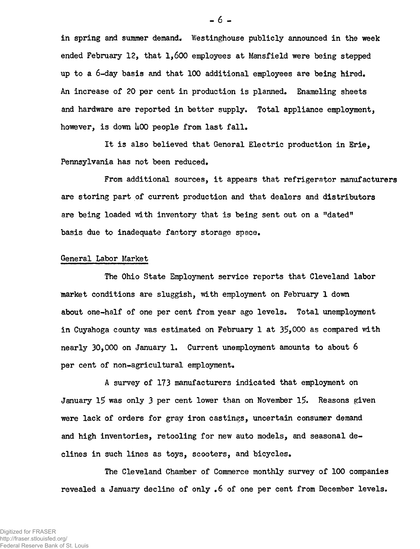in spring and summer demand. Westinghouse publicly announced in the week ended February 12, that 1,600 employees at Mansfield were being stepped up to a 6-day basis and that 100 additional employees are being hired. An increase of 20 per cent in production is planned. Enameling sheets and hardware are reported in better supply. Total appliance employment, however, is down 400 people from last fall.

It is also believed that General Electric production in Erie, Pennsylvania has not been reduced.

From additional sources, it appears that refrigerator manufacturers are storing part of current production and that dealers and distributors are being loaded with inventory that is being sent out on a "dated" basis due to inadequate factory storage space.

#### General Labor Market

The Ohio State Employment service reports that Cleveland labor market conditions are sluggish, with employment on February 1 down about one-half of one per cent from year ago levels. Total unemployment in Cuyahoga county was estimated on February 1 at 35,000 as compared with nearly 30,000 on January 1. Current unemployment amounts to about 6 per cent of non-agricultural employment.

A survey of 173 manufacturers indicated that employment pn January 15 was only 3 per cent lower than on November 15. Reasons given were lack of orders for gray iron castings, uncertain consumer demand and high inventories, retooling for new auto models, and seasonal declines in such lines as toys, scooters, and bicycles.

The Cleveland Chamber of Commerce monthly survey of 100 companies revealed a January decline of only .6 of one per cent from December levels.